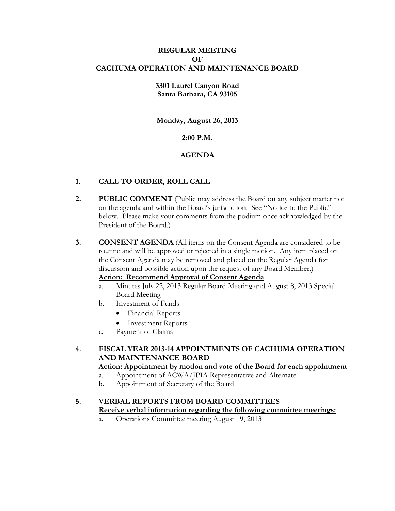### **REGULAR MEETING OF CACHUMA OPERATION AND MAINTENANCE BOARD**

### **3301 Laurel Canyon Road Santa Barbara, CA 93105**

**\_\_\_\_\_\_\_\_\_\_\_\_\_\_\_\_\_\_\_\_\_\_\_\_\_\_\_\_\_\_\_\_\_\_\_\_\_\_\_\_\_\_\_\_\_\_\_\_\_\_\_\_\_\_\_\_\_\_\_\_\_\_\_\_\_\_\_\_\_\_\_\_\_\_\_\_\_\_**

**Monday, August 26, 2013** 

### **2:00 P.M.**

### **AGENDA**

### **1. CALL TO ORDER, ROLL CALL**

**2. PUBLIC COMMENT** (Public may address the Board on any subject matter not on the agenda and within the Board's jurisdiction. See "Notice to the Public" below. Please make your comments from the podium once acknowledged by the President of the Board.)

**3. CONSENT AGENDA** (All items on the Consent Agenda are considered to be routine and will be approved or rejected in a single motion. Any item placed on the Consent Agenda may be removed and placed on the Regular Agenda for discussion and possible action upon the request of any Board Member.)

# **Action: Recommend Approval of Consent Agenda**

- a. Minutes July 22, 2013 Regular Board Meeting and August 8, 2013 Special Board Meeting
- b. Investment of Funds
	- Financial Reports
	- Investment Reports
- c. Payment of Claims

### **4. FISCAL YEAR 2013-14 APPOINTMENTS OF CACHUMA OPERATION AND MAINTENANCE BOARD**

### **Action: Appointment by motion and vote of the Board for each appointment**

- a. Appointment of ACWA/JPIA Representative and Alternate
- b. Appointment of Secretary of the Board

#### **5. VERBAL REPORTS FROM BOARD COMMITTEES Receive verbal information regarding the following committee meetings:**

a. Operations Committee meeting August 19, 2013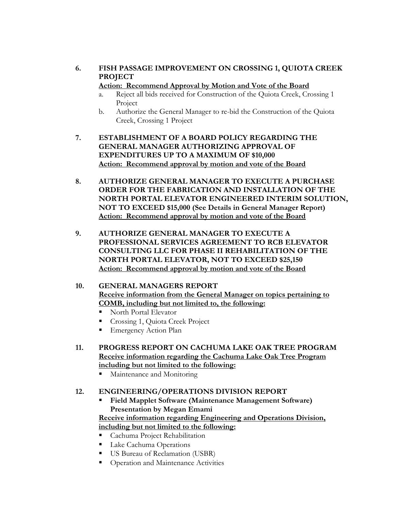**6. FISH PASSAGE IMPROVEMENT ON CROSSING 1, QUIOTA CREEK PROJECT** 

### **Action: Recommend Approval by Motion and Vote of the Board**

- a. Reject all bids received for Construction of the Quiota Creek, Crossing 1 Project
- b. Authorize the General Manager to re-bid the Construction of the Quiota Creek, Crossing 1 Project
- **7. ESTABLISHMENT OF A BOARD POLICY REGARDING THE GENERAL MANAGER AUTHORIZING APPROVAL OF EXPENDITURES UP TO A MAXIMUM OF \$10,000 Action: Recommend approval by motion and vote of the Board**
- **8. AUTHORIZE GENERAL MANAGER TO EXECUTE A PURCHASE ORDER FOR THE FABRICATION AND INSTALLATION OF THE NORTH PORTAL ELEVATOR ENGINEERED INTERIM SOLUTION, NOT TO EXCEED \$15,000 (See Details in General Manager Report) Action: Recommend approval by motion and vote of the Board**
- **9. AUTHORIZE GENERAL MANAGER TO EXECUTE A PROFESSIONAL SERVICES AGREEMENT TO RCB ELEVATOR CONSULTING LLC FOR PHASE II REHABILITATION OF THE NORTH PORTAL ELEVATOR, NOT TO EXCEED \$25,150 Action: Recommend approval by motion and vote of the Board**

### **10. GENERAL MANAGERS REPORT Receive information from the General Manager on topics pertaining to COMB, including but not limited to, the following:**

- North Portal Elevator
- Crossing 1, Quiota Creek Project
- **Emergency Action Plan**
- **11. PROGRESS REPORT ON CACHUMA LAKE OAK TREE PROGRAM Receive information regarding the Cachuma Lake Oak Tree Program including but not limited to the following:**
	- **Maintenance and Monitoring**

## **12. ENGINEERING/OPERATIONS DIVISION REPORT**

 **Field Mapplet Software (Maintenance Management Software) Presentation by Megan Emami** 

### **Receive information regarding Engineering and Operations Division, including but not limited to the following:**

- **Cachuma Project Rehabilitation**
- **Lake Cachuma Operations**
- US Bureau of Reclamation (USBR)
- **•** Operation and Maintenance Activities